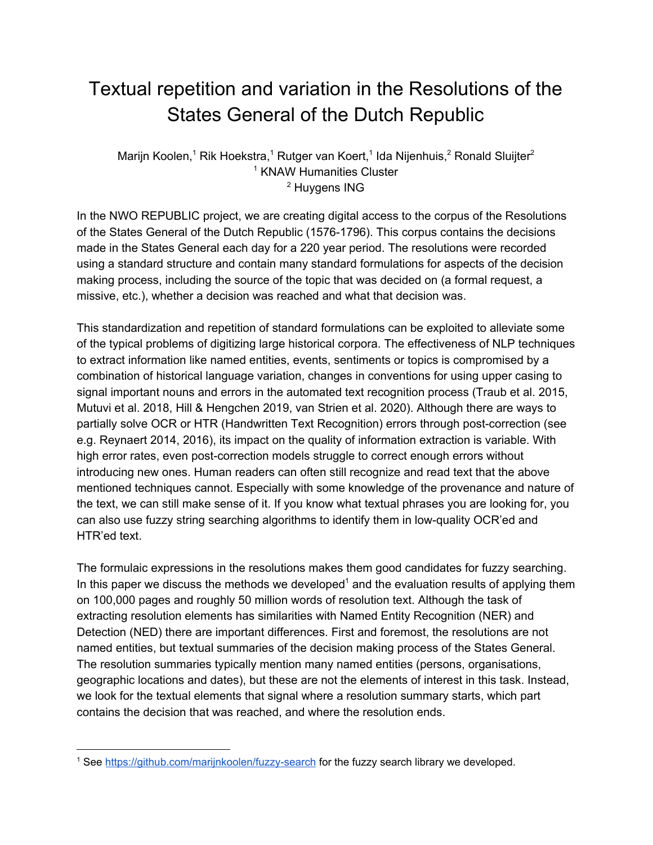## Textual repetition and variation in the Resolutions of the States General of the Dutch Republic

Marijn Koolen,<sup>1</sup> Rik Hoekstra,<sup>1</sup> Rutger van Koert,<sup>1</sup> Ida Nijenhuis,<sup>2</sup> Ronald Sluijter<sup>2</sup> <sup>1</sup> KNAW Humanities Cluster <sup>2</sup> Huygens ING

In the NWO REPUBLIC project, we are creating digital access to the corpus of the Resolutions of the States General of the Dutch Republic (1576-1796). This corpus contains the decisions made in the States General each day for a 220 year period. The resolutions were recorded using a standard structure and contain many standard formulations for aspects of the decision making process, including the source of the topic that was decided on (a formal request, a missive, etc.), whether a decision was reached and what that decision was.

This standardization and repetition of standard formulations can be exploited to alleviate some of the typical problems of digitizing large historical corpora. The effectiveness of NLP techniques to extract information like named entities, events, sentiments or topics is compromised by a combination of historical language variation, changes in conventions for using upper casing to signal important nouns and errors in the automated text recognition process (Traub et al. 2015, Mutuvi et al. 2018, Hill & Hengchen 2019, van Strien et al. 2020). Although there are ways to partially solve OCR or HTR (Handwritten Text Recognition) errors through post-correction (see e.g. Reynaert 2014, 2016), its impact on the quality of information extraction is variable. With high error rates, even post-correction models struggle to correct enough errors without introducing new ones. Human readers can often still recognize and read text that the above mentioned techniques cannot. Especially with some knowledge of the provenance and nature of the text, we can still make sense of it. If you know what textual phrases you are looking for, you can also use fuzzy string searching algorithms to identify them in low-quality OCR'ed and HTR'ed text.

The formulaic expressions in the resolutions makes them good candidates for fuzzy searching. In this paper we discuss the methods we developed<sup>1</sup> and the evaluation results of applying them on 100,000 pages and roughly 50 million words of resolution text. Although the task of extracting resolution elements has similarities with Named Entity Recognition (NER) and Detection (NED) there are important differences. First and foremost, the resolutions are not named entities, but textual summaries of the decision making process of the States General. The resolution summaries typically mention many named entities (persons, organisations, geographic locations and dates), but these are not the elements of interest in this task. Instead, we look for the textual elements that signal where a resolution summary starts, which part contains the decision that was reached, and where the resolution ends.

<sup>1</sup> See <https://github.com/marijnkoolen/fuzzy-search> for the fuzzy search library we developed.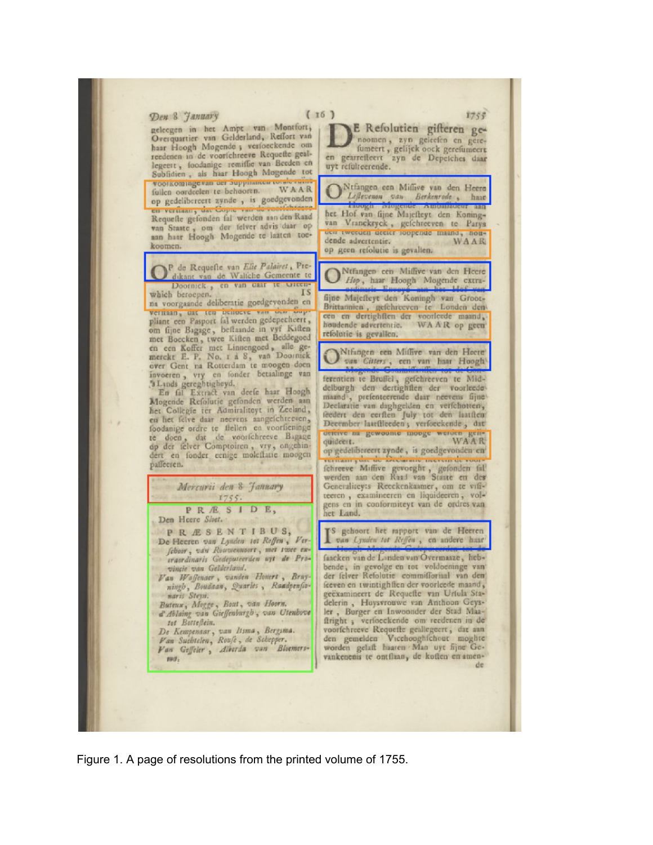## Den 8 January

geleegen in het Ampt van Montfort, Overquartier van Gelderland, Reffort van haar Hoogh Mogende; verforekende om reedenen in de voorfchreeve Requette geallegeert, foodanige remiffie van Beeden en Subfidien, als haar Hoogh Mogende tot voorkomingevan der Suppmancu to

fullen oordeelen te behooren. WAAR op gedelibereert zynde, is goedgevonden en vernaan, uat Gu

Requeste gefonden fal werden aan den Raad van Staate, om der felver advis daar op aan haar Hoogh Mogende te laaten toekoomen.



which beroepen. na voorgaande deliberatie goedgevonden en vermaan, dat ten behoeve van den Sup-

pliant een Pasport fal werden gedepecheert, om fijne Bagage, beftaande in vyf Kiften met Boecken, twee Kiften met Beddegoed en een Koffer met Linnengoed, alle ge-<br>merckt E. P. No. 1 à 8, van Doornick over Gent na Rotterdam te moogen doen invoeren, vry en fonder betaalinge van

's Lands gereghtigheyd.<br>En fil Extract van deefe haar Hoogh Mogende Refolutie gefonden werden aan Collegie ter Admiraliteyt in Zeeland, het en het felve daar neevens aangelchreeven, foodanige ordre te flellen en voorfieninge te doen, dat de voorfchreeve Bagage<br>op der felver Comptoiren, vry, ongehindert en fonder eenige moleftatte moogen paffecren.



 $(16)$  $1755$ E Refolution gifteren genoomen, zyn geleefen en gerefumeert, gelijck oock gerefumeert en gearreiteert zyn de Depeiches daar

Ntfangen een Miffive van den Heere Leftevenon van Berkenrode , haar het Hof van fijne Majefteyt den Koningvan Vranckryck, gefchreeven te Parys den tweeden deeler loopende maand, noudende advertentie. WAAR op geen refolutie is govalten.

Ntfangen een Miffive van den Heere Hop, haar Hoogh Mogende extrafijne Majefleyt den Koningh van Groot-Brittannien, gefchreeven te Londen den cen en dertightten der voorleede maand, houdende advertentie. WAAR op geen refolutie is gevallen.

Ntfangen een Miffive van den Heere van Citters, een van haar Hoogh Mogende Committentien for de C

ferentien te Brußel, gefchreeven te Mid-<br>delburgh den dertightlen der voorleede maand, prefenteerende daar neevens fijne Declaratie van daghgelden en verfchotten, December laartlieeden ; verfoeckende, dat ocieive na gewoonte mooge werden geli-WAAR quideert. op gedelibereert zynde, is goedgevonden en **ELECTRELE 3 N** IL SPO APERIMENTE THAT STATES TOUT fchreeve Miffive gevoeght, gefonden fall<br>werden aan den Raad van Stante en des Generaliteyts Reeckenkaamer, om te vifiteeren, examineeren en liquideeren, volgens en in conformiteyt van de ordres van

het Land. TS gehoort het rapport van de Heeren L van Lynden tot Reffen, en andere haar

faacken van de Landen van Overmaaze, hebbende, in gevolge en tot voldoeminge van der felver Refolutie commifforital van den feeven en twintighften der voorleede maand, geëxamineert de Requette van Urtula Stadelerin, Hoysvrouwe van Anthoon Geysler, Burger en Inwoonder der Stad Maaftright ; verfoeckende om reedenen in de voorfchreeve Requefte gealtegeert, dat aan den gemelden Vicehooghfchout moglite worden gelaft haaren Man uyt fijne Gevankenenis te ontflian, de koften en amende

Figure 1. A page of resolutions from the printed volume of 1755.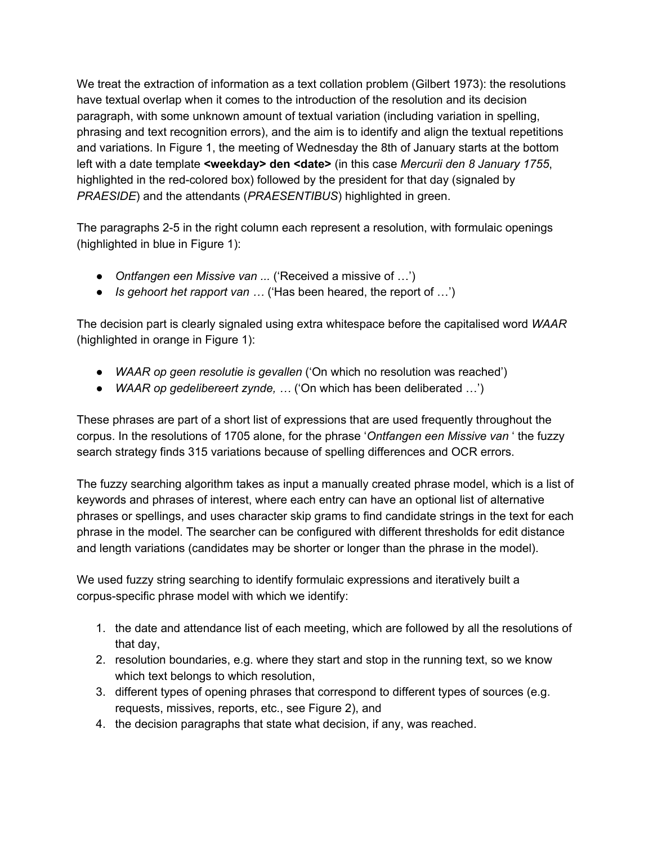We treat the extraction of information as a text collation problem (Gilbert 1973): the resolutions have textual overlap when it comes to the introduction of the resolution and its decision paragraph, with some unknown amount of textual variation (including variation in spelling, phrasing and text recognition errors), and the aim is to identify and align the textual repetitions and variations. In Figure 1, the meeting of Wednesday the 8th of January starts at the bottom left with a date template **<weekday> den <date>** (in this case *Mercurii den 8 January 1755*, highlighted in the red-colored box) followed by the president for that day (signaled by *PRAESIDE*) and the attendants (*PRAESENTIBUS*) highlighted in green.

The paragraphs 2-5 in the right column each represent a resolution, with formulaic openings (highlighted in blue in Figure 1):

- *Ontfangen een Missive van ...* ('Received a missive of …')
- *Is gehoort het rapport van …* ('Has been heared, the report of …')

The decision part is clearly signaled using extra whitespace before the capitalised word *WAAR* (highlighted in orange in Figure 1):

- *WAAR op geen resolutie is gevallen* ('On which no resolution was reached')
- *WAAR op gedelibereert zynde, …* ('On which has been deliberated …')

These phrases are part of a short list of expressions that are used frequently throughout the corpus. In the resolutions of 1705 alone, for the phrase '*Ontfangen een Missive van* ' the fuzzy search strategy finds 315 variations because of spelling differences and OCR errors.

The fuzzy searching algorithm takes as input a manually created phrase model, which is a list of keywords and phrases of interest, where each entry can have an optional list of alternative phrases or spellings, and uses character skip grams to find candidate strings in the text for each phrase in the model. The searcher can be configured with different thresholds for edit distance and length variations (candidates may be shorter or longer than the phrase in the model).

We used fuzzy string searching to identify formulaic expressions and iteratively built a corpus-specific phrase model with which we identify:

- 1. the date and attendance list of each meeting, which are followed by all the resolutions of that day,
- 2. resolution boundaries, e.g. where they start and stop in the running text, so we know which text belongs to which resolution,
- 3. different types of opening phrases that correspond to different types of sources (e.g. requests, missives, reports, etc., see Figure 2), and
- 4. the decision paragraphs that state what decision, if any, was reached.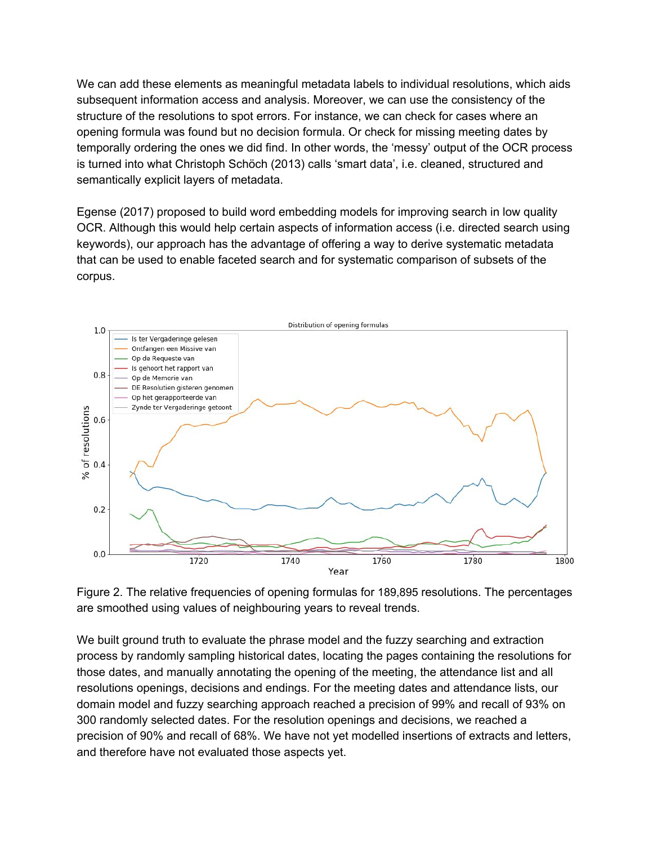We can add these elements as meaningful metadata labels to individual resolutions, which aids subsequent information access and analysis. Moreover, we can use the consistency of the structure of the resolutions to spot errors. For instance, we can check for cases where an opening formula was found but no decision formula. Or check for missing meeting dates by temporally ordering the ones we did find. In other words, the 'messy' output of the OCR process is turned into what Christoph Schöch (2013) calls 'smart data', i.e. cleaned, structured and semantically explicit layers of metadata.

Egense (2017) proposed to build word embedding models for improving search in low quality OCR. Although this would help certain aspects of information access (i.e. directed search using keywords), our approach has the advantage of offering a way to derive systematic metadata that can be used to enable faceted search and for systematic comparison of subsets of the corpus.



Figure 2. The relative frequencies of opening formulas for 189,895 resolutions. The percentages are smoothed using values of neighbouring years to reveal trends.

We built ground truth to evaluate the phrase model and the fuzzy searching and extraction process by randomly sampling historical dates, locating the pages containing the resolutions for those dates, and manually annotating the opening of the meeting, the attendance list and all resolutions openings, decisions and endings. For the meeting dates and attendance lists, our domain model and fuzzy searching approach reached a precision of 99% and recall of 93% on 300 randomly selected dates. For the resolution openings and decisions, we reached a precision of 90% and recall of 68%. We have not yet modelled insertions of extracts and letters, and therefore have not evaluated those aspects yet.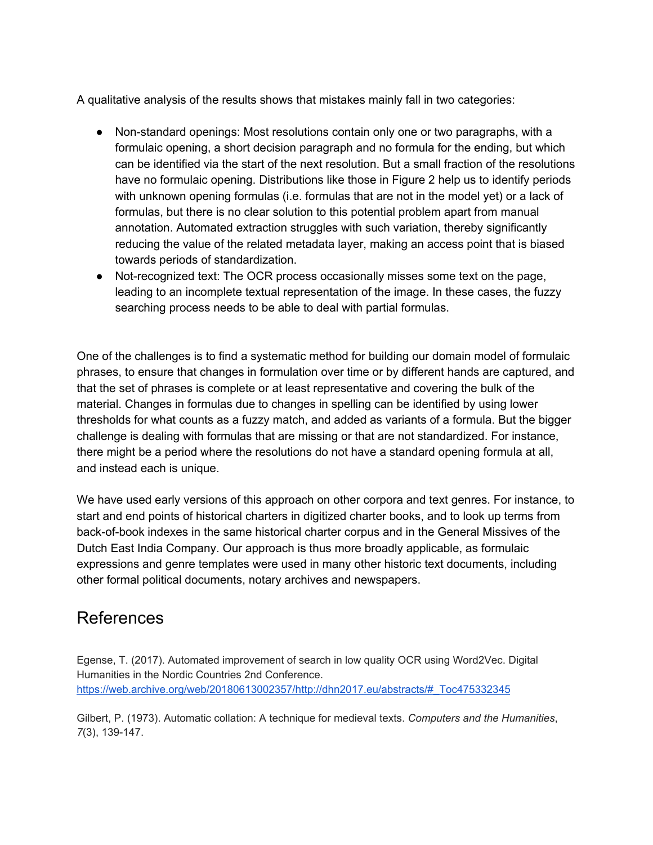A qualitative analysis of the results shows that mistakes mainly fall in two categories:

- Non-standard openings: Most resolutions contain only one or two paragraphs, with a formulaic opening, a short decision paragraph and no formula for the ending, but which can be identified via the start of the next resolution. But a small fraction of the resolutions have no formulaic opening. Distributions like those in Figure 2 help us to identify periods with unknown opening formulas (i.e. formulas that are not in the model yet) or a lack of formulas, but there is no clear solution to this potential problem apart from manual annotation. Automated extraction struggles with such variation, thereby significantly reducing the value of the related metadata layer, making an access point that is biased towards periods of standardization.
- Not-recognized text: The OCR process occasionally misses some text on the page, leading to an incomplete textual representation of the image. In these cases, the fuzzy searching process needs to be able to deal with partial formulas.

One of the challenges is to find a systematic method for building our domain model of formulaic phrases, to ensure that changes in formulation over time or by different hands are captured, and that the set of phrases is complete or at least representative and covering the bulk of the material. Changes in formulas due to changes in spelling can be identified by using lower thresholds for what counts as a fuzzy match, and added as variants of a formula. But the bigger challenge is dealing with formulas that are missing or that are not standardized. For instance, there might be a period where the resolutions do not have a standard opening formula at all, and instead each is unique.

We have used early versions of this approach on other corpora and text genres. For instance, to start and end points of historical charters in digitized charter books, and to look up terms from back-of-book indexes in the same historical charter corpus and in the General Missives of the Dutch East India Company. Our approach is thus more broadly applicable, as formulaic expressions and genre templates were used in many other historic text documents, including other formal political documents, notary archives and newspapers.

## References

Egense, T. (2017). Automated improvement of search in low quality OCR using Word2Vec. Digital Humanities in the Nordic Countries 2nd Conference. [https://web.archive.org/web/20180613002357/http://dhn2017.eu/abstracts/#\\_Toc475332345](https://web.archive.org/web/20180613002357/http://dhn2017.eu/abstracts/#_Toc475332345)

Gilbert, P. (1973). Automatic collation: A technique for medieval texts. *Computers and the Humanities*, *7*(3), 139-147.